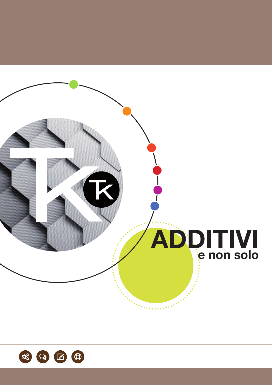

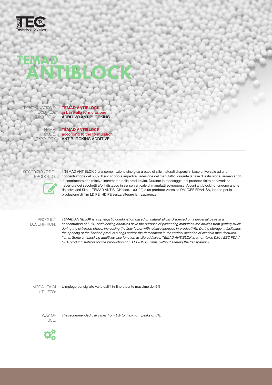

ENOMINAZIONE: CODIF **TIPOLOGIA** 

**TEMAD ANTIBLOCK** in base alla formulazione ADDITIVO ANTIBLOCKING

NAME: CODE: **TYPOLOGY** 

**TEMAD ANTIBLOCK** according to the formulation ANTIBLOCKING ADDITIVE

DESCRIZIONE DEL PRODOTTO:



Il TEMAD ANTIBLOK è una combinazione sinergica a base di silici naturali dispersi in base universale ad una concentrazione del 50%. Il suo scopo è impedire l'adesione del manufatto, durante la fase di estrusione, aumentando lo scorrimento con relativo incremento della produttività. Durante lo stoccaggio del prodotto finito ne favorisce l'apertura dei sacchetti e/o il distacco in senso verticale di manufatti sovrapposti. Alcuni antiblocking fungono anche da scivolanti Slip. Il TEMAD ANTIBLOK (cod. 100122) è un prodotto Atossico DMI/CEE FDA/USA, idoneo per la produzione di film LD PE, HD PE senza alterare la trasparenza.

PRODUCT DESCRIPTION: *TEMAD ANTIBLOK is a synergistic combination based on natural silicas dispersed on a universal basis at a concentration of 50%. Antiblocking additives have the purpose of preventing manufactured articles from getting stuck during the extrusion phase, increasing the flow factor with relative increase in productivity. During storage, it facilitates*  the opening of the finished product's bags and/or the detachment in the vertical direction of overlaid manufactured *items. Some antiblocking additives also function as slip additives. TEMAD ANTIBLOK is a non-toxic DMI / EEC FDA / USA product, suitable for the production of LD PE/HD PE films, without altering the transparency.*

MODALITÀ DI UTILIZZO:

L'impiego consigliato varia dall'1% fino a punte massime del 5%

WAY OF USE:

*The recommended use varies from 1% to maximum peaks of 5%.*